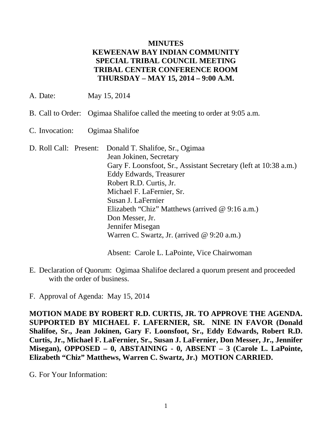## **MINUTES KEWEENAW BAY INDIAN COMMUNITY SPECIAL TRIBAL COUNCIL MEETING TRIBAL CENTER CONFERENCE ROOM THURSDAY – MAY 15, 2014 – 9:00 A.M.**

A. Date: May 15, 2014

- B. Call to Order: Ogimaa Shalifoe called the meeting to order at 9:05 a.m.
- C. Invocation: Ogimaa Shalifoe
- D. Roll Call: Present: Donald T. Shalifoe, Sr., Ogimaa Jean Jokinen, Secretary Gary F. Loonsfoot, Sr., Assistant Secretary (left at 10:38 a.m.) Eddy Edwards, Treasurer Robert R.D. Curtis, Jr. Michael F. LaFernier, Sr. Susan J. LaFernier Elizabeth "Chiz" Matthews (arrived @ 9:16 a.m.) Don Messer, Jr. Jennifer Misegan Warren C. Swartz, Jr. (arrived @ 9:20 a.m.)

Absent: Carole L. LaPointe, Vice Chairwoman

E. Declaration of Quorum: Ogimaa Shalifoe declared a quorum present and proceeded with the order of business.

F. Approval of Agenda: May 15, 2014

**MOTION MADE BY ROBERT R.D. CURTIS, JR. TO APPROVE THE AGENDA. SUPPORTED BY MICHAEL F. LAFERNIER, SR. NINE IN FAVOR (Donald Shalifoe, Sr., Jean Jokinen, Gary F. Loonsfoot, Sr., Eddy Edwards, Robert R.D. Curtis, Jr., Michael F. LaFernier, Sr., Susan J. LaFernier, Don Messer, Jr., Jennifer Misegan), OPPOSED – 0, ABSTAINING - 0, ABSENT – 3 (Carole L. LaPointe, Elizabeth "Chiz" Matthews, Warren C. Swartz, Jr.) MOTION CARRIED.**

G. For Your Information: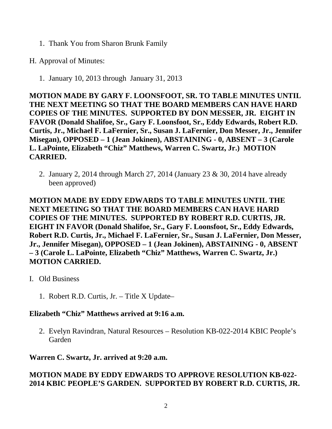- 1. Thank You from Sharon Brunk Family
- H. Approval of Minutes:
	- 1. January 10, 2013 through January 31, 2013

**MOTION MADE BY GARY F. LOONSFOOT, SR. TO TABLE MINUTES UNTIL THE NEXT MEETING SO THAT THE BOARD MEMBERS CAN HAVE HARD COPIES OF THE MINUTES. SUPPORTED BY DON MESSER, JR. EIGHT IN FAVOR (Donald Shalifoe, Sr., Gary F. Loonsfoot, Sr., Eddy Edwards, Robert R.D. Curtis, Jr., Michael F. LaFernier, Sr., Susan J. LaFernier, Don Messer, Jr., Jennifer Misegan), OPPOSED – 1 (Jean Jokinen), ABSTAINING - 0, ABSENT – 3 (Carole L. LaPointe, Elizabeth "Chiz" Matthews, Warren C. Swartz, Jr.) MOTION CARRIED.**

2. January 2, 2014 through March 27, 2014 (January 23 & 30, 2014 have already been approved)

**MOTION MADE BY EDDY EDWARDS TO TABLE MINUTES UNTIL THE NEXT MEETING SO THAT THE BOARD MEMBERS CAN HAVE HARD COPIES OF THE MINUTES. SUPPORTED BY ROBERT R.D. CURTIS, JR. EIGHT IN FAVOR (Donald Shalifoe, Sr., Gary F. Loonsfoot, Sr., Eddy Edwards, Robert R.D. Curtis, Jr., Michael F. LaFernier, Sr., Susan J. LaFernier, Don Messer, Jr., Jennifer Misegan), OPPOSED – 1 (Jean Jokinen), ABSTAINING - 0, ABSENT – 3 (Carole L. LaPointe, Elizabeth "Chiz" Matthews, Warren C. Swartz, Jr.) MOTION CARRIED.**

- I. Old Business
	- 1. Robert R.D. Curtis, Jr. Title X Update–

### **Elizabeth "Chiz" Matthews arrived at 9:16 a.m.**

2. Evelyn Ravindran, Natural Resources – Resolution KB-022-2014 KBIC People's Garden

**Warren C. Swartz, Jr. arrived at 9:20 a.m.**

# **MOTION MADE BY EDDY EDWARDS TO APPROVE RESOLUTION KB-022- 2014 KBIC PEOPLE'S GARDEN. SUPPORTED BY ROBERT R.D. CURTIS, JR.**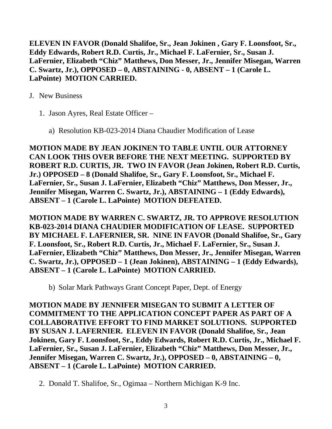**ELEVEN IN FAVOR (Donald Shalifoe, Sr., Jean Jokinen , Gary F. Loonsfoot, Sr., Eddy Edwards, Robert R.D. Curtis, Jr., Michael F. LaFernier, Sr., Susan J. LaFernier, Elizabeth "Chiz" Matthews, Don Messer, Jr., Jennifer Misegan, Warren C. Swartz, Jr.), OPPOSED – 0, ABSTAINING - 0, ABSENT – 1 (Carole L. LaPointe) MOTION CARRIED.**

- J. New Business
	- 1. Jason Ayres, Real Estate Officer
		- a) Resolution KB-023-2014 Diana Chaudier Modification of Lease

**MOTION MADE BY JEAN JOKINEN TO TABLE UNTIL OUR ATTORNEY CAN LOOK THIS OVER BEFORE THE NEXT MEETING. SUPPORTED BY ROBERT R.D. CURTIS, JR. TWO IN FAVOR (Jean Jokinen, Robert R.D. Curtis, Jr.) OPPOSED – 8 (Donald Shalifoe, Sr., Gary F. Loonsfoot, Sr., Michael F. LaFernier, Sr., Susan J. LaFernier, Elizabeth "Chiz" Matthews, Don Messer, Jr., Jennifer Misegan, Warren C. Swartz, Jr.), ABSTAINING – 1 (Eddy Edwards), ABSENT – 1 (Carole L. LaPointe) MOTION DEFEATED.**

**MOTION MADE BY WARREN C. SWARTZ, JR. TO APPROVE RESOLUTION KB-023-2014 DIANA CHAUDIER MODIFICATION OF LEASE. SUPPORTED BY MICHAEL F. LAFERNIER, SR. NINE IN FAVOR (Donald Shalifoe, Sr., Gary F. Loonsfoot, Sr., Robert R.D. Curtis, Jr., Michael F. LaFernier, Sr., Susan J. LaFernier, Elizabeth "Chiz" Matthews, Don Messer, Jr., Jennifer Misegan, Warren C. Swartz, Jr.), OPPOSED – 1 (Jean Jokinen), ABSTAINING – 1 (Eddy Edwards), ABSENT – 1 (Carole L. LaPointe) MOTION CARRIED.**

b) Solar Mark Pathways Grant Concept Paper, Dept. of Energy

**MOTION MADE BY JENNIFER MISEGAN TO SUBMIT A LETTER OF COMMITMENT TO THE APPLICATION CONCEPT PAPER AS PART OF A COLLABORATIVE EFFORT TO FIND MARKET SOLUTIONS. SUPPORTED BY SUSAN J. LAFERNIER. ELEVEN IN FAVOR (Donald Shalifoe, Sr., Jean Jokinen, Gary F. Loonsfoot, Sr., Eddy Edwards, Robert R.D. Curtis, Jr., Michael F. LaFernier, Sr., Susan J. LaFernier, Elizabeth "Chiz" Matthews, Don Messer, Jr., Jennifer Misegan, Warren C. Swartz, Jr.), OPPOSED – 0, ABSTAINING – 0, ABSENT – 1 (Carole L. LaPointe) MOTION CARRIED.**

2. Donald T. Shalifoe, Sr., Ogimaa – Northern Michigan K-9 Inc.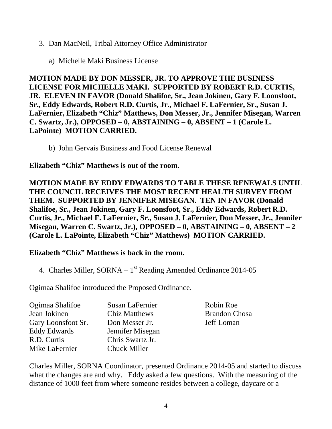### 3. Dan MacNeil, Tribal Attorney Office Administrator –

a) Michelle Maki Business License

**MOTION MADE BY DON MESSER, JR. TO APPROVE THE BUSINESS LICENSE FOR MICHELLE MAKI. SUPPORTED BY ROBERT R.D. CURTIS, JR. ELEVEN IN FAVOR (Donald Shalifoe, Sr., Jean Jokinen, Gary F. Loonsfoot, Sr., Eddy Edwards, Robert R.D. Curtis, Jr., Michael F. LaFernier, Sr., Susan J. LaFernier, Elizabeth "Chiz" Matthews, Don Messer, Jr., Jennifer Misegan, Warren C. Swartz, Jr.), OPPOSED – 0, ABSTAINING – 0, ABSENT – 1 (Carole L. LaPointe) MOTION CARRIED.**

b) John Gervais Business and Food License Renewal

### **Elizabeth "Chiz" Matthews is out of the room.**

**MOTION MADE BY EDDY EDWARDS TO TABLE THESE RENEWALS UNTIL THE COUNCIL RECEIVES THE MOST RECENT HEALTH SURVEY FROM THEM. SUPPORTED BY JENNIFER MISEGAN. TEN IN FAVOR (Donald Shalifoe, Sr., Jean Jokinen, Gary F. Loonsfoot, Sr., Eddy Edwards, Robert R.D. Curtis, Jr., Michael F. LaFernier, Sr., Susan J. LaFernier, Don Messer, Jr., Jennifer Misegan, Warren C. Swartz, Jr.), OPPOSED – 0, ABSTAINING – 0, ABSENT – 2 (Carole L. LaPointe, Elizabeth "Chiz" Matthews) MOTION CARRIED.**

# **Elizabeth "Chiz" Matthews is back in the room.**

4. Charles Miller,  $SORNA - 1^{st}$  Reading Amended Ordinance 2014-05

Ogimaa Shalifoe introduced the Proposed Ordinance.

| Ogimaa Shalifoe    | Susan LaFernier      | Robin Roe            |
|--------------------|----------------------|----------------------|
| Jean Jokinen       | <b>Chiz Matthews</b> | <b>Brandon Chosa</b> |
| Gary Loonsfoot Sr. | Don Messer Jr.       | Jeff Loman           |
| Eddy Edwards       | Jennifer Misegan     |                      |
| R.D. Curtis        | Chris Swartz Jr.     |                      |
| Mike LaFernier     | Chuck Miller         |                      |

Charles Miller, SORNA Coordinator, presented Ordinance 2014-05 and started to discuss what the changes are and why. Eddy asked a few questions. With the measuring of the distance of 1000 feet from where someone resides between a college, daycare or a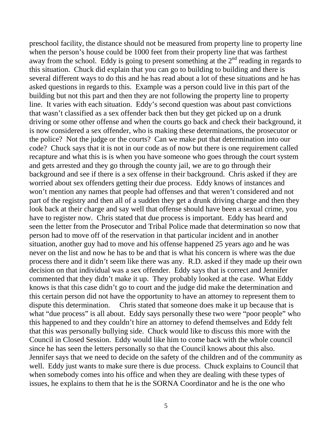preschool facility, the distance should not be measured from property line to property line when the person's house could be 1000 feet from their property line that was farthest away from the school. Eddy is going to present something at the  $2<sup>nd</sup>$  reading in regards to this situation. Chuck did explain that you can go to building to building and there is several different ways to do this and he has read about a lot of these situations and he has asked questions in regards to this. Example was a person could live in this part of the building but not this part and then they are not following the property line to property line. It varies with each situation. Eddy's second question was about past convictions that wasn't classified as a sex offender back then but they get picked up on a drunk driving or some other offense and when the courts go back and check their background, it is now considered a sex offender, who is making these determinations, the prosecutor or the police? Not the judge or the courts? Can we make put that determination into our code? Chuck says that it is not in our code as of now but there is one requirement called recapture and what this is is when you have someone who goes through the court system and gets arrested and they go through the county jail, we are to go through their background and see if there is a sex offense in their background. Chris asked if they are worried about sex offenders getting their due process. Eddy knows of instances and won't mention any names that people had offenses and that weren't considered and not part of the registry and then all of a sudden they get a drunk driving charge and then they look back at their charge and say well that offense should have been a sexual crime, you have to register now. Chris stated that due process is important. Eddy has heard and seen the letter from the Prosecutor and Tribal Police made that determination so now that person had to move off of the reservation in that particular incident and in another situation, another guy had to move and his offense happened 25 years ago and he was never on the list and now he has to be and that is what his concern is where was the due process there and it didn't seem like there was any. R.D. asked if they made up their own decision on that individual was a sex offender. Eddy says that is correct and Jennifer commented that they didn't make it up. They probably looked at the case. What Eddy knows is that this case didn't go to court and the judge did make the determination and this certain person did not have the opportunity to have an attorney to represent them to dispute this determination. Chris stated that someone does make it up because that is what "due process" is all about. Eddy says personally these two were "poor people" who this happened to and they couldn't hire an attorney to defend themselves and Eddy felt that this was personally bullying side. Chuck would like to discuss this more with the Council in Closed Session. Eddy would like him to come back with the whole council since he has seen the letters personally so that the Council knows about this also. Jennifer says that we need to decide on the safety of the children and of the community as well. Eddy just wants to make sure there is due process. Chuck explains to Council that when somebody comes into his office and when they are dealing with these types of issues, he explains to them that he is the SORNA Coordinator and he is the one who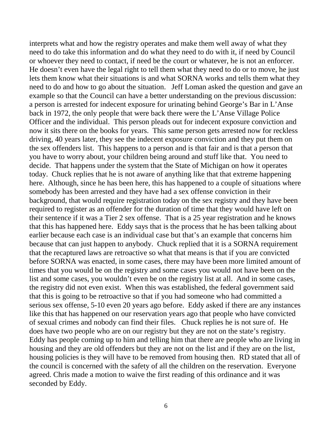interprets what and how the registry operates and make them well away of what they need to do take this information and do what they need to do with it, if need by Council or whoever they need to contact, if need be the court or whatever, he is not an enforcer. He doesn't even have the legal right to tell them what they need to do or to move, he just lets them know what their situations is and what SORNA works and tells them what they need to do and how to go about the situation. Jeff Loman asked the question and gave an example so that the Council can have a better understanding on the previous discussion: a person is arrested for indecent exposure for urinating behind George's Bar in L'Anse back in 1972, the only people that were back there were the L'Anse Village Police Officer and the individual. This person pleads out for indecent exposure conviction and now it sits there on the books for years. This same person gets arrested now for reckless driving, 40 years later, they see the indecent exposure conviction and they put them on the sex offenders list. This happens to a person and is that fair and is that a person that you have to worry about, your children being around and stuff like that. You need to decide. That happens under the system that the State of Michigan on how it operates today. Chuck replies that he is not aware of anything like that that extreme happening here. Although, since he has been here, this has happened to a couple of situations where somebody has been arrested and they have had a sex offense conviction in their background, that would require registration today on the sex registry and they have been required to register as an offender for the duration of time that they would have left on their sentence if it was a Tier 2 sex offense. That is a 25 year registration and he knows that this has happened here. Eddy says that is the process that he has been talking about earlier because each case is an individual case but that's an example that concerns him because that can just happen to anybody. Chuck replied that it is a SORNA requirement that the recaptured laws are retroactive so what that means is that if you are convicted before SORNA was enacted, in some cases, there may have been more limited amount of times that you would be on the registry and some cases you would not have been on the list and some cases, you wouldn't even be on the registry list at all. And in some cases, the registry did not even exist. When this was established, the federal government said that this is going to be retroactive so that if you had someone who had committed a serious sex offense, 5-10 even 20 years ago before. Eddy asked if there are any instances like this that has happened on our reservation years ago that people who have convicted of sexual crimes and nobody can find their files. Chuck replies he is not sure of. He does have two people who are on our registry but they are not on the state's registry. Eddy has people coming up to him and telling him that there are people who are living in housing and they are old offenders but they are not on the list and if they are on the list, housing policies is they will have to be removed from housing then. RD stated that all of the council is concerned with the safety of all the children on the reservation. Everyone agreed. Chris made a motion to waive the first reading of this ordinance and it was seconded by Eddy.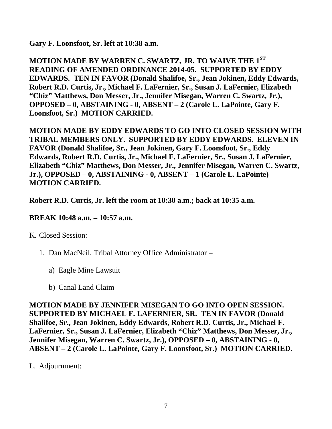**Gary F. Loonsfoot, Sr. left at 10:38 a.m.**

**MOTION MADE BY WARREN C. SWARTZ, JR. TO WAIVE THE 1ST READING OF AMENDED ORDINANCE 2014-05. SUPPORTED BY EDDY EDWARDS. TEN IN FAVOR (Donald Shalifoe, Sr., Jean Jokinen, Eddy Edwards, Robert R.D. Curtis, Jr., Michael F. LaFernier, Sr., Susan J. LaFernier, Elizabeth "Chiz" Matthews, Don Messer, Jr., Jennifer Misegan, Warren C. Swartz, Jr.), OPPOSED – 0, ABSTAINING - 0, ABSENT – 2 (Carole L. LaPointe, Gary F. Loonsfoot, Sr.) MOTION CARRIED.**

**MOTION MADE BY EDDY EDWARDS TO GO INTO CLOSED SESSION WITH TRIBAL MEMBERS ONLY. SUPPORTED BY EDDY EDWARDS. ELEVEN IN FAVOR (Donald Shalifoe, Sr., Jean Jokinen, Gary F. Loonsfoot, Sr., Eddy Edwards, Robert R.D. Curtis, Jr., Michael F. LaFernier, Sr., Susan J. LaFernier, Elizabeth "Chiz" Matthews, Don Messer, Jr., Jennifer Misegan, Warren C. Swartz, Jr.), OPPOSED – 0, ABSTAINING - 0, ABSENT – 1 (Carole L. LaPointe) MOTION CARRIED.**

**Robert R.D. Curtis, Jr. left the room at 10:30 a.m.; back at 10:35 a.m.**

## **BREAK 10:48 a.m. – 10:57 a.m.**

K. Closed Session:

- 1. Dan MacNeil, Tribal Attorney Office Administrator
	- a) Eagle Mine Lawsuit
	- b) Canal Land Claim

**MOTION MADE BY JENNIFER MISEGAN TO GO INTO OPEN SESSION. SUPPORTED BY MICHAEL F. LAFERNIER, SR. TEN IN FAVOR (Donald Shalifoe, Sr., Jean Jokinen, Eddy Edwards, Robert R.D. Curtis, Jr., Michael F. LaFernier, Sr., Susan J. LaFernier, Elizabeth "Chiz" Matthews, Don Messer, Jr., Jennifer Misegan, Warren C. Swartz, Jr.), OPPOSED – 0, ABSTAINING - 0, ABSENT – 2 (Carole L. LaPointe, Gary F. Loonsfoot, Sr.) MOTION CARRIED.**

L. Adjournment: